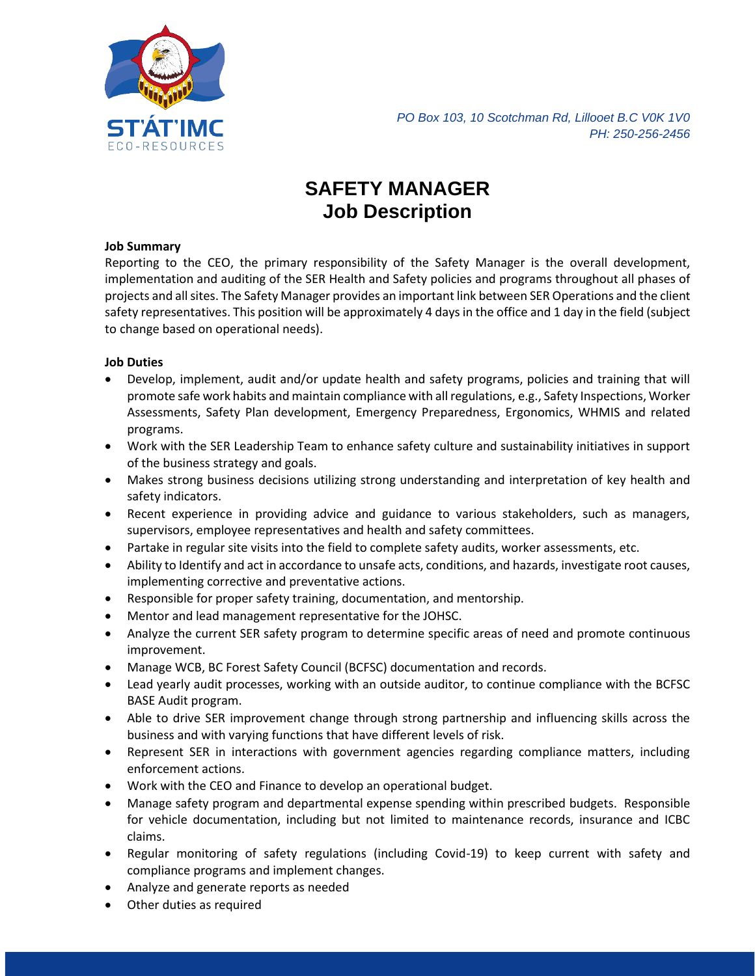

*PO Box 103, 10 Scotchman Rd, Lillooet B.C V0K 1V0 PH: 250-256-2456*

# **SAFETY MANAGER Job Description**

### **Job Summary**

Reporting to the CEO, the primary responsibility of the Safety Manager is the overall development, implementation and auditing of the SER Health and Safety policies and programs throughout all phases of projects and all sites. The Safety Manager provides an important link between SER Operations and the client safety representatives. This position will be approximately 4 days in the office and 1 day in the field (subject to change based on operational needs).

# **Job Duties**

- Develop, implement, audit and/or update health and safety programs, policies and training that will promote safe work habits and maintain compliance with all regulations, e.g., Safety Inspections, Worker Assessments, Safety Plan development, Emergency Preparedness, Ergonomics, WHMIS and related programs.
- Work with the SER Leadership Team to enhance safety culture and sustainability initiatives in support of the business strategy and goals.
- Makes strong business decisions utilizing strong understanding and interpretation of key health and safety indicators.
- Recent experience in providing advice and guidance to various stakeholders, such as managers, supervisors, employee representatives and health and safety committees.
- Partake in regular site visits into the field to complete safety audits, worker assessments, etc.
- Ability to Identify and act in accordance to unsafe acts, conditions, and hazards, investigate root causes, implementing corrective and preventative actions.
- Responsible for proper safety training, documentation, and mentorship.
- Mentor and lead management representative for the JOHSC.
- Analyze the current SER safety program to determine specific areas of need and promote continuous improvement.
- Manage WCB, BC Forest Safety Council (BCFSC) documentation and records.
- Lead yearly audit processes, working with an outside auditor, to continue compliance with the BCFSC BASE Audit program.
- Able to drive SER improvement change through strong partnership and influencing skills across the business and with varying functions that have different levels of risk.
- Represent SER in interactions with government agencies regarding compliance matters, including enforcement actions.
- Work with the CEO and Finance to develop an operational budget.
- Manage safety program and departmental expense spending within prescribed budgets. Responsible for vehicle documentation, including but not limited to maintenance records, insurance and ICBC claims.
- Regular monitoring of safety regulations (including Covid-19) to keep current with safety and compliance programs and implement changes.
- Analyze and generate reports as needed
- Other duties as required